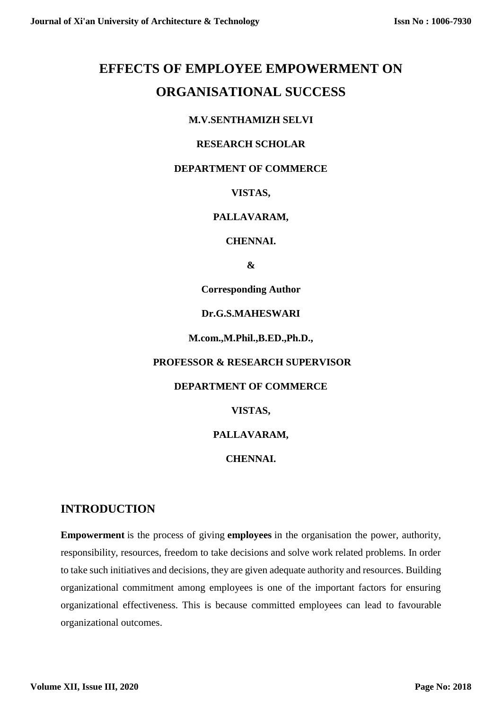# **EFFECTS OF EMPLOYEE EMPOWERMENT ON ORGANISATIONAL SUCCESS**

## **M.V.SENTHAMIZH SELVI**

#### **RESEARCH SCHOLAR**

#### **DEPARTMENT OF COMMERCE**

#### **VISTAS,**

## **PALLAVARAM,**

#### **CHENNAI.**

**&**

**Corresponding Author**

#### **Dr.G.S.MAHESWARI**

**M.com.,M.Phil.,B.ED.,Ph.D.,**

#### **PROFESSOR & RESEARCH SUPERVISOR**

#### **DEPARTMENT OF COMMERCE**

#### **VISTAS,**

#### **PALLAVARAM,**

#### **CHENNAI.**

# **INTRODUCTION**

**Empowerment** is the process of giving **employees** in the organisation the power, authority, responsibility, resources, freedom to take decisions and solve work related problems. In order to take such initiatives and decisions, they are given adequate authority and resources. Building organizational commitment among employees is one of the important factors for ensuring organizational effectiveness. This is because committed employees can lead to favourable organizational outcomes.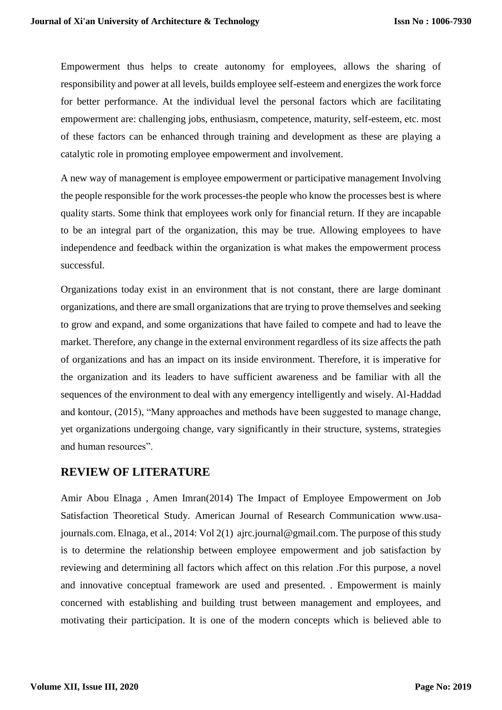Empowerment thus helps to create autonomy for employees, allows the sharing of responsibility and power at all levels, builds employee self-esteem and energizes the work force for better performance. At the individual level the personal factors which are facilitating empowerment are: challenging jobs, enthusiasm, competence, maturity, self-esteem, etc. most of these factors can be enhanced through training and development as these are playing a catalytic role in promoting employee empowerment and involvement.

A new way of management is employee empowerment or participative management Involving the people responsible for the work processes-the people who know the processes best is where quality starts. Some think that employees work only for financial return. If they are incapable to be an integral part of the organization, this may be true. Allowing employees to have independence and feedback within the organization is what makes the empowerment process successful.

Organizations today exist in an environment that is not constant, there are large dominant organizations, and there are small organizations that are trying to prove themselves and seeking to grow and expand, and some organizations that have failed to compete and had to leave the market. Therefore, any change in the external environment regardless of its size affects the path of organizations and has an impact on its inside environment. Therefore, it is imperative for the organization and its leaders to have sufficient awareness and be familiar with all the sequences of the environment to deal with any emergency intelligently and wisely. Al-Haddad and kontour, (2015), "Many approaches and methods have been suggested to manage change, yet organizations undergoing change, vary significantly in their structure, systems, strategies and human resources".

# **REVIEW OF LITERATURE**

Amir Abou Elnaga , Amen Imran(2014) The Impact of Employee Empowerment on Job Satisfaction Theoretical Study. American Journal of Research Communication www.usajournals.com. Elnaga, et al., 2014: Vol 2(1) ajrc.journal@gmail.com. The purpose of this study is to determine the relationship between employee empowerment and job satisfaction by reviewing and determining all factors which affect on this relation .For this purpose, a novel and innovative conceptual framework are used and presented. . Empowerment is mainly concerned with establishing and building trust between management and employees, and motivating their participation. It is one of the modern concepts which is believed able to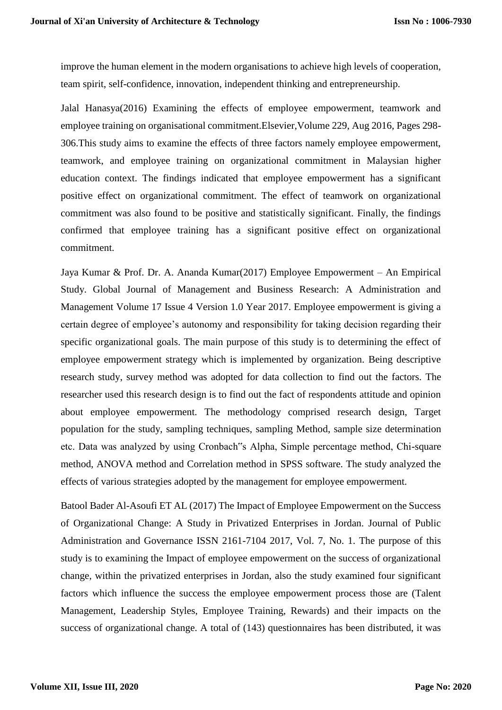improve the human element in the modern organisations to achieve high levels of cooperation, team spirit, self-confidence, innovation, independent thinking and entrepreneurship.

Jalal Hanasya(2016) Examining the effects of employee empowerment, teamwork and employee training on organisational commitment.Elsevier,Volume 229, Aug 2016, Pages 298- 306.This study aims to examine the effects of three factors namely employee empowerment, teamwork, and employee training on organizational commitment in Malaysian higher education context. The findings indicated that employee empowerment has a significant positive effect on organizational commitment. The effect of teamwork on organizational commitment was also found to be positive and statistically significant. Finally, the findings confirmed that employee training has a significant positive effect on organizational commitment.

Jaya Kumar & Prof. Dr. A. Ananda Kumar(2017) Employee Empowerment – An Empirical Study. Global Journal of Management and Business Research: A Administration and Management Volume 17 Issue 4 Version 1.0 Year 2017. Employee empowerment is giving a certain degree of employee's autonomy and responsibility for taking decision regarding their specific organizational goals. The main purpose of this study is to determining the effect of employee empowerment strategy which is implemented by organization. Being descriptive research study, survey method was adopted for data collection to find out the factors. The researcher used this research design is to find out the fact of respondents attitude and opinion about employee empowerment. The methodology comprised research design, Target population for the study, sampling techniques, sampling Method, sample size determination etc. Data was analyzed by using Cronbach"s Alpha, Simple percentage method, Chi-square method, ANOVA method and Correlation method in SPSS software. The study analyzed the effects of various strategies adopted by the management for employee empowerment.

Batool Bader Al-Asoufi ET AL (2017) The Impact of Employee Empowerment on the Success of Organizational Change: A Study in Privatized Enterprises in Jordan. Journal of Public Administration and Governance ISSN 2161-7104 2017, Vol. 7, No. 1. The purpose of this study is to examining the Impact of employee empowerment on the success of organizational change, within the privatized enterprises in Jordan, also the study examined four significant factors which influence the success the employee empowerment process those are (Talent Management, Leadership Styles, Employee Training, Rewards) and their impacts on the success of organizational change. A total of (143) questionnaires has been distributed, it was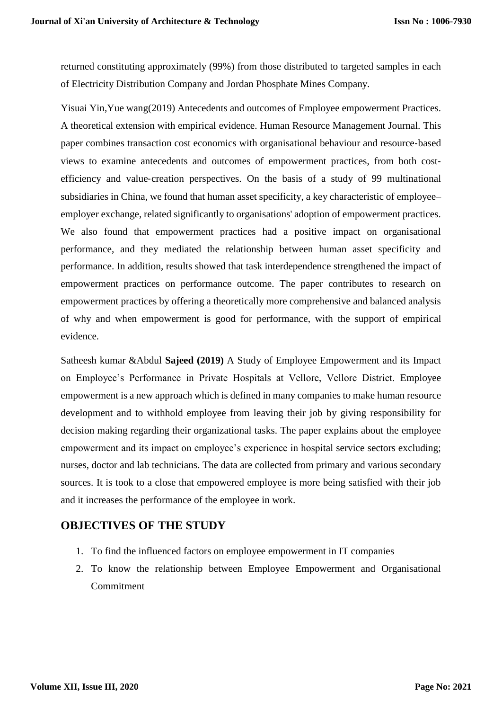returned constituting approximately (99%) from those distributed to targeted samples in each of Electricity Distribution Company and Jordan Phosphate Mines Company.

Yisuai Yin,Yue wang(2019) Antecedents and outcomes of Employee empowerment Practices. A theoretical extension with empirical evidence. Human Resource Management Journal. This paper combines transaction cost economics with organisational behaviour and resource-based views to examine antecedents and outcomes of empowerment practices, from both costefficiency and value‐creation perspectives. On the basis of a study of 99 multinational subsidiaries in China, we found that human asset specificity, a key characteristic of employee– employer exchange, related significantly to organisations' adoption of empowerment practices. We also found that empowerment practices had a positive impact on organisational performance, and they mediated the relationship between human asset specificity and performance. In addition, results showed that task interdependence strengthened the impact of empowerment practices on performance outcome. The paper contributes to research on empowerment practices by offering a theoretically more comprehensive and balanced analysis of why and when empowerment is good for performance, with the support of empirical evidence.

Satheesh kumar &Abdul **Sajeed (2019)** A Study of Employee Empowerment and its Impact on Employee's Performance in Private Hospitals at Vellore, Vellore District. Employee empowerment is a new approach which is defined in many companies to make human resource development and to withhold employee from leaving their job by giving responsibility for decision making regarding their organizational tasks. The paper explains about the employee empowerment and its impact on employee's experience in hospital service sectors excluding; nurses, doctor and lab technicians. The data are collected from primary and various secondary sources. It is took to a close that empowered employee is more being satisfied with their job and it increases the performance of the employee in work.

# **OBJECTIVES OF THE STUDY**

- 1. To find the influenced factors on employee empowerment in IT companies
- 2. To know the relationship between Employee Empowerment and Organisational Commitment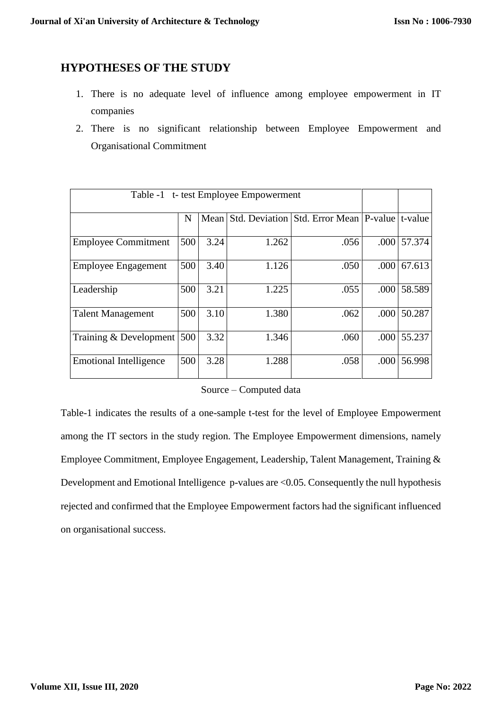# **HYPOTHESES OF THE STUDY**

- 1. There is no adequate level of influence among employee empowerment in IT companies
- 2. There is no significant relationship between Employee Empowerment and Organisational Commitment

| Table -1 t- test Employee Empowerment |     |      |       |                                          |      |         |
|---------------------------------------|-----|------|-------|------------------------------------------|------|---------|
|                                       | N   | Mean |       | Std. Deviation Std. Error Mean   P-value |      | t-value |
| <b>Employee Commitment</b>            | 500 | 3.24 | 1.262 | .056                                     | .000 | 57.374  |
| Employee Engagement                   | 500 | 3.40 | 1.126 | .050                                     | .000 | 67.613  |
| Leadership                            | 500 | 3.21 | 1.225 | .055                                     | .000 | 58.589  |
| <b>Talent Management</b>              | 500 | 3.10 | 1.380 | .062                                     | .000 | 50.287  |
| Training & Development                | 500 | 3.32 | 1.346 | .060                                     | .000 | 55.237  |
| <b>Emotional Intelligence</b>         | 500 | 3.28 | 1.288 | .058                                     | .000 | 56.998  |

#### Source – Computed data

Table-1 indicates the results of a one-sample t-test for the level of Employee Empowerment among the IT sectors in the study region. The Employee Empowerment dimensions, namely Employee Commitment, Employee Engagement, Leadership, Talent Management, Training & Development and Emotional Intelligence p-values are <0.05. Consequently the null hypothesis rejected and confirmed that the Employee Empowerment factors had the significant influenced on organisational success.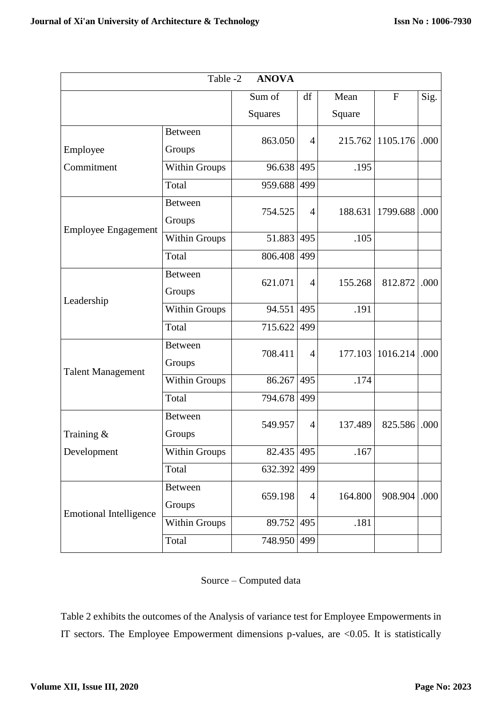| Table -2<br><b>ANOVA</b>      |                      |            |                |         |              |      |  |  |  |  |  |
|-------------------------------|----------------------|------------|----------------|---------|--------------|------|--|--|--|--|--|
|                               |                      | Sum of     | df             | Mean    | $\mathbf{F}$ | Sig. |  |  |  |  |  |
|                               |                      | Squares    |                | Square  |              |      |  |  |  |  |  |
|                               | <b>Between</b>       | 863.050    | $\overline{4}$ | 215.762 | 1105.176     | .000 |  |  |  |  |  |
| Employee                      | Groups               |            |                |         |              |      |  |  |  |  |  |
| Commitment                    | <b>Within Groups</b> | 96.638     | 495            | .195    |              |      |  |  |  |  |  |
|                               | Total                | 959.688    | 499            |         |              |      |  |  |  |  |  |
| <b>Employee Engagement</b>    | <b>Between</b>       | 754.525    | $\overline{4}$ | 188.631 | 1799.688     | .000 |  |  |  |  |  |
|                               | Groups               |            |                |         |              |      |  |  |  |  |  |
|                               | <b>Within Groups</b> | 51.883     | 495            | .105    |              |      |  |  |  |  |  |
|                               | Total                | 806.408    | 499            |         |              |      |  |  |  |  |  |
| Leadership                    | <b>Between</b>       | 621.071    | $\overline{4}$ | 155.268 | 812.872      | .000 |  |  |  |  |  |
|                               | Groups               |            |                |         |              |      |  |  |  |  |  |
|                               | Within Groups        | 94.551     | 495            | .191    |              |      |  |  |  |  |  |
|                               | Total                | 715.622    | 499            |         |              |      |  |  |  |  |  |
| <b>Talent Management</b>      | <b>Between</b>       | 708.411    | $\overline{4}$ | 177.103 | 1016.214     | .000 |  |  |  |  |  |
|                               | Groups               |            |                |         |              |      |  |  |  |  |  |
|                               | <b>Within Groups</b> | 86.267     | 495            | .174    |              |      |  |  |  |  |  |
|                               | Total                | 794.678    | 499            |         |              |      |  |  |  |  |  |
| Training &<br>Development     | <b>Between</b>       | 549.957    | 4              | 137.489 | 825.586      | .000 |  |  |  |  |  |
|                               | Groups               |            |                |         |              |      |  |  |  |  |  |
|                               | Within Groups        | 82.435 495 |                | .167    |              |      |  |  |  |  |  |
|                               | Total                | 632.392    | 499            |         |              |      |  |  |  |  |  |
| <b>Emotional Intelligence</b> | <b>Between</b>       | 659.198    | $\overline{4}$ | 164.800 | 908.904      | .000 |  |  |  |  |  |
|                               | Groups               |            |                |         |              |      |  |  |  |  |  |
|                               | <b>Within Groups</b> | 89.752     | 495            | .181    |              |      |  |  |  |  |  |
|                               | Total                | 748.950    | 499            |         |              |      |  |  |  |  |  |

#### Source – Computed data

Table 2 exhibits the outcomes of the Analysis of variance test for Employee Empowerments in IT sectors. The Employee Empowerment dimensions p-values, are <0.05. It is statistically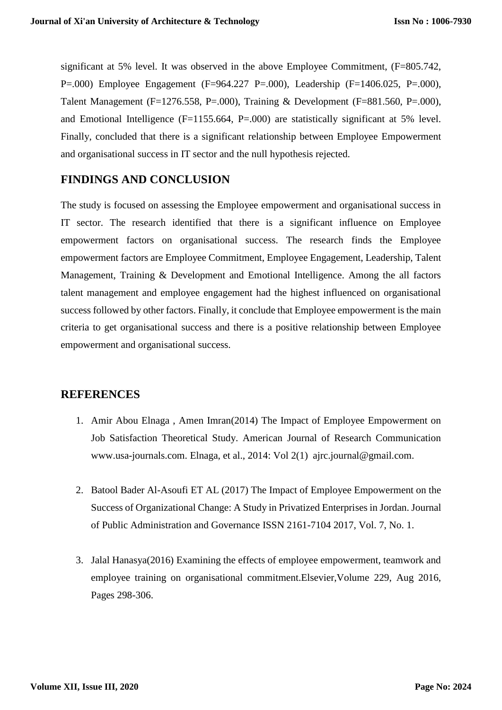significant at 5% level. It was observed in the above Employee Commitment, (F=805.742, P=.000) Employee Engagement (F=964.227 P=.000), Leadership (F=1406.025, P=.000), Talent Management (F=1276.558, P=.000), Training & Development (F=881.560, P=.000), and Emotional Intelligence ( $F=1155.664$ ,  $P=.000$ ) are statistically significant at 5% level. Finally, concluded that there is a significant relationship between Employee Empowerment and organisational success in IT sector and the null hypothesis rejected.

# **FINDINGS AND CONCLUSION**

The study is focused on assessing the Employee empowerment and organisational success in IT sector. The research identified that there is a significant influence on Employee empowerment factors on organisational success. The research finds the Employee empowerment factors are Employee Commitment, Employee Engagement, Leadership, Talent Management, Training & Development and Emotional Intelligence. Among the all factors talent management and employee engagement had the highest influenced on organisational success followed by other factors. Finally, it conclude that Employee empowerment is the main criteria to get organisational success and there is a positive relationship between Employee empowerment and organisational success.

# **REFERENCES**

- 1. Amir Abou Elnaga , Amen Imran(2014) The Impact of Employee Empowerment on Job Satisfaction Theoretical Study. American Journal of Research Communication www.usa-journals.com. Elnaga, et al., 2014: Vol 2(1) ajrc.journal@gmail.com.
- 2. Batool Bader Al-Asoufi ET AL (2017) The Impact of Employee Empowerment on the Success of Organizational Change: A Study in Privatized Enterprises in Jordan. Journal of Public Administration and Governance ISSN 2161-7104 2017, Vol. 7, No. 1.
- 3. Jalal Hanasya(2016) Examining the effects of employee empowerment, teamwork and employee training on organisational commitment.Elsevier,Volume 229, Aug 2016, Pages 298-306.